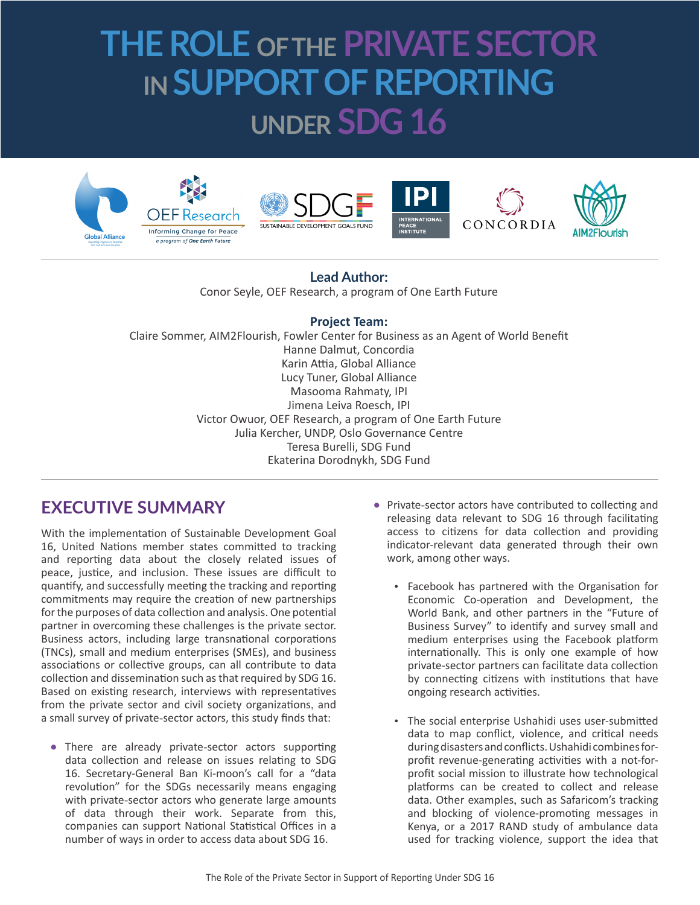# **THE ROLE OF THE PRIVATE SECTOR IN SUPPORT OF REPORTING UNDER SDG 16**











### **Lead Author:**

Conor Seyle, OEF Research, a program of One Earth Future

#### **Project Team:**

Claire Sommer, AIM2Flourish, Fowler Center for Business as an Agent of World Benefit Hanne Dalmut, Concordia Karin Attia, Global Alliance Lucy Tuner, Global Alliance Masooma Rahmaty, IPI Jimena Leiva Roesch, IPI Victor Owuor, OEF Research, a program of One Earth Future Julia Kercher, UNDP, Oslo Governance Centre Teresa Burelli, SDG Fund Ekaterina Dorodnykh, SDG Fund

## **EXECUTIVE SUMMARY**

With the implementation of Sustainable Development Goal 16, United Nations member states committed to tracking and reporting data about the closely related issues of peace, justice, and inclusion. These issues are difficult to quantify, and successfully meeting the tracking and reporting commitments may require the creation of new partnerships for the purposes of data collection and analysis. One potential partner in overcoming these challenges is the private sector. Business actors, including large transnational corporations (TNCs), small and medium enterprises (SMEs), and business associations or collective groups, can all contribute to data collection and dissemination such as that required by SDG 16. Based on existing research, interviews with representatives from the private sector and civil society organizations, and a small survey of private-sector actors, this study finds that:

**•** There are already private-sector actors supporting data collection and release on issues relating to SDG 16. Secretary-General Ban Ki-moon's call for a "data revolution" for the SDGs necessarily means engaging with private-sector actors who generate large amounts of data through their work. Separate from this, companies can support National Statistical Offices in a number of ways in order to access data about SDG 16.

- **•** Private-sector actors have contributed to collecting and releasing data relevant to SDG 16 through facilitating access to citizens for data collection and providing indicator-relevant data generated through their own work, among other ways.
	- Facebook has partnered with the Organisation for Economic Co-operation and Development, the World Bank, and other partners in the "Future of Business Survey" to identify and survey small and medium enterprises using the Facebook platform internationally. This is only one example of how private-sector partners can facilitate data collection by connecting citizens with institutions that have ongoing research activities.
	- The social enterprise Ushahidi uses user-submitted data to map conflict, violence, and critical needs during disasters and conflicts. Ushahidi combines forprofit revenue-generating activities with a not-forprofit social mission to illustrate how technological platforms can be created to collect and release data. Other examples, such as Safaricom's tracking and blocking of violence-promoting messages in Kenya, or a 2017 RAND study of ambulance data used for tracking violence, support the idea that